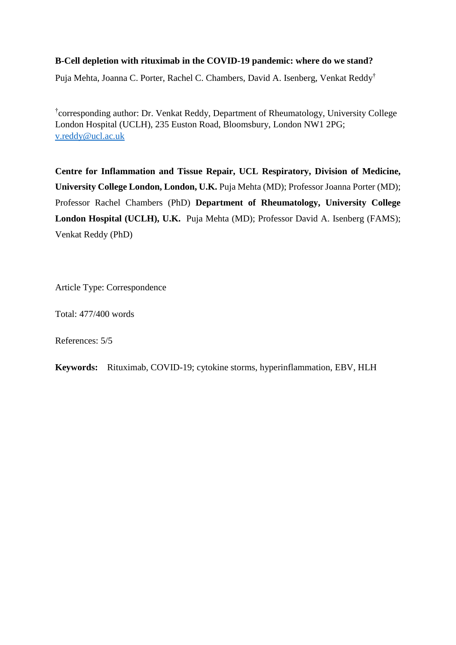## **B-Cell depletion with rituximab in the COVID-19 pandemic: where do we stand?**

Puja Mehta, Joanna C. Porter, Rachel C. Chambers, David A. Isenberg, Venkat Reddy†

† corresponding author: Dr. Venkat Reddy, Department of Rheumatology, University College London Hospital (UCLH), 235 Euston Road, Bloomsbury, London NW1 2PG; [v.reddy@ucl.ac.uk](mailto:v.reddy@ucl.ac.uk)

**Centre for Inflammation and Tissue Repair, UCL Respiratory, Division of Medicine, University College London, London, U.K.** Puja Mehta (MD); Professor Joanna Porter (MD); Professor Rachel Chambers (PhD) **Department of Rheumatology, University College London Hospital (UCLH), U.K.** Puja Mehta (MD); Professor David A. Isenberg (FAMS); Venkat Reddy (PhD)

Article Type: Correspondence

Total: 477/400 words

References: 5/5

**Keywords:** Rituximab, COVID-19; cytokine storms, hyperinflammation, EBV, HLH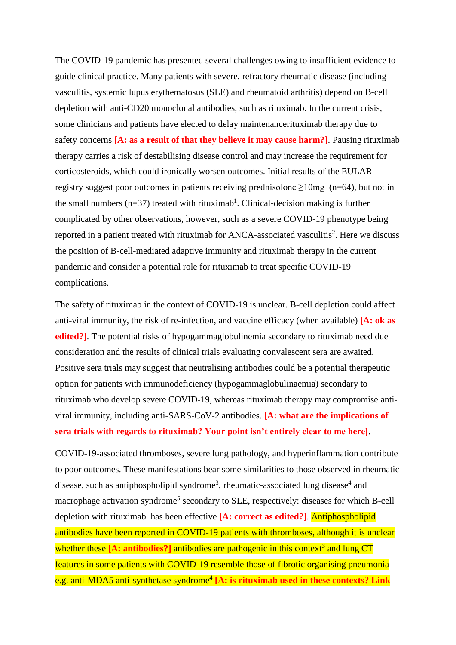The COVID-19 pandemic has presented several challenges owing to insufficient evidence to guide clinical practice. Many patients with severe, refractory rheumatic disease (including vasculitis, systemic lupus erythematosus (SLE) and rheumatoid arthritis) depend on B-cell depletion with anti-CD20 monoclonal antibodies, such as rituximab. In the current crisis, some clinicians and patients have elected to delay maintenancerituximab therapy due to safety concerns **[A: as a result of that they believe it may cause harm?]**. Pausing rituximab therapy carries a risk of destabilising disease control and may increase the requirement for corticosteroids, which could ironically worsen outcomes. Initial results of the EULAR registry suggest poor outcomes in patients receiving prednisolone ≥10mg (n=64), but not in the small numbers  $(n=37)$  treated with rituximab<sup>1</sup>. Clinical-decision making is further complicated by other observations, however, such as a severe COVID-19 phenotype being reported in a patient treated with rituximab for ANCA-associated vasculitis<sup>2</sup>. Here we discuss the position of B-cell-mediated adaptive immunity and rituximab therapy in the current pandemic and consider a potential role for rituximab to treat specific COVID-19 complications.

The safety of rituximab in the context of COVID-19 is unclear. B-cell depletion could affect anti-viral immunity, the risk of re-infection, and vaccine efficacy (when available) **[A: ok as edited?]**. The potential risks of hypogammaglobulinemia secondary to rituximab need due consideration and the results of clinical trials evaluating convalescent sera are awaited. Positive sera trials may suggest that neutralising antibodies could be a potential therapeutic option for patients with immunodeficiency (hypogammaglobulinaemia) secondary to rituximab who develop severe COVID-19, whereas rituximab therapy may compromise antiviral immunity, including anti-SARS-CoV-2 antibodies. **[A: what are the implications of sera trials with regards to rituximab? Your point isn't entirely clear to me here]**.

COVID-19-associated thromboses, severe lung pathology, and hyperinflammation contribute to poor outcomes. These manifestations bear some similarities to those observed in rheumatic disease, such as antiphospholipid syndrome<sup>3</sup>, rheumatic-associated lung disease<sup>4</sup> and macrophage activation syndrome<sup>5</sup> secondary to SLE, respectively: diseases for which B-cell depletion with rituximab has been effective **[A: correct as edited?]**. Antiphospholipid antibodies have been reported in COVID-19 patients with thromboses, although it is unclear whether these [A: antibodies?] antibodies are pathogenic in this context<sup>3</sup> and lung CT features in some patients with COVID-19 resemble those of fibrotic organising pneumonia e.g. anti-MDA5 anti-synthetase syndrome<sup>4</sup> [A: is rituximab used in these contexts? Link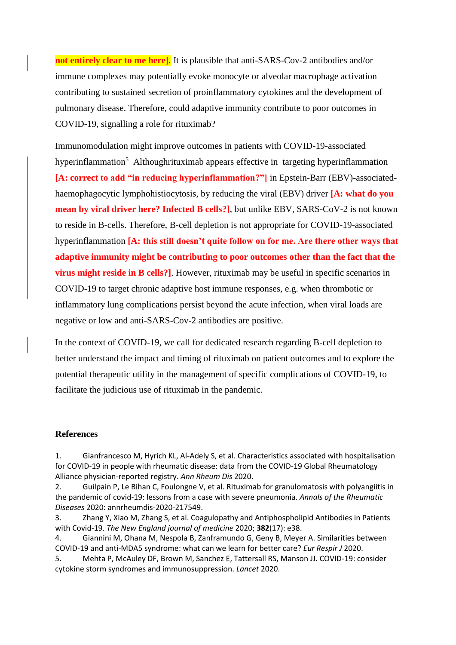**not entirely clear to me here]**. It is plausible that anti-SARS-Cov-2 antibodies and/or immune complexes may potentially evoke monocyte or alveolar macrophage activation contributing to sustained secretion of proinflammatory cytokines and the development of pulmonary disease. Therefore, could adaptive immunity contribute to poor outcomes in COVID-19, signalling a role for rituximab?

Immunomodulation might improve outcomes in patients with COVID-19-associated hyperinflammation<sup>5</sup> Althoughrituximab appears effective in targeting hyperinflammation **[A: correct to add "in reducing hyperinflammation?"]** in Epstein-Barr (EBV)-associatedhaemophagocytic lymphohistiocytosis, by reducing the viral (EBV) driver **[A: what do you mean by viral driver here? Infected B cells?]**, but unlike EBV, SARS-CoV-2 is not known to reside in B-cells. Therefore, B-cell depletion is not appropriate for COVID-19-associated hyperinflammation **[A: this still doesn't quite follow on for me. Are there other ways that adaptive immunity might be contributing to poor outcomes other than the fact that the virus might reside in B cells?**]. However, rituximab may be useful in specific scenarios in COVID-19 to target chronic adaptive host immune responses, e.g. when thrombotic or inflammatory lung complications persist beyond the acute infection, when viral loads are negative or low and anti-SARS-Cov-2 antibodies are positive.

In the context of COVID-19, we call for dedicated research regarding B-cell depletion to better understand the impact and timing of rituximab on patient outcomes and to explore the potential therapeutic utility in the management of specific complications of COVID-19, to facilitate the judicious use of rituximab in the pandemic.

## **References**

1. Gianfrancesco M, Hyrich KL, Al-Adely S, et al. Characteristics associated with hospitalisation for COVID-19 in people with rheumatic disease: data from the COVID-19 Global Rheumatology Alliance physician-reported registry. *Ann Rheum Dis* 2020.

2. Guilpain P, Le Bihan C, Foulongne V, et al. Rituximab for granulomatosis with polyangiitis in the pandemic of covid-19: lessons from a case with severe pneumonia. *Annals of the Rheumatic Diseases* 2020: annrheumdis-2020-217549.

3. Zhang Y, Xiao M, Zhang S, et al. Coagulopathy and Antiphospholipid Antibodies in Patients with Covid-19. *The New England journal of medicine* 2020; **382**(17): e38.

4. Giannini M, Ohana M, Nespola B, Zanframundo G, Geny B, Meyer A. Similarities between COVID-19 and anti-MDA5 syndrome: what can we learn for better care? *Eur Respir J* 2020.

5. Mehta P, McAuley DF, Brown M, Sanchez E, Tattersall RS, Manson JJ. COVID-19: consider cytokine storm syndromes and immunosuppression. *Lancet* 2020.